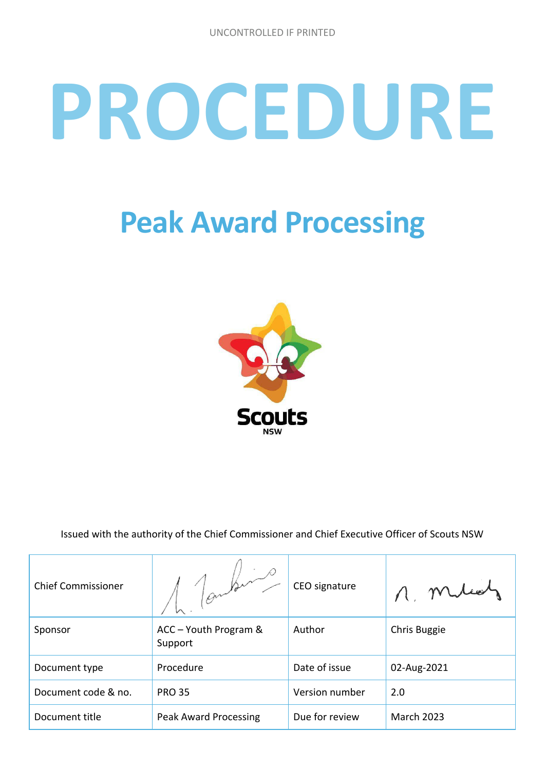# **PROCEDURE**

# **Peak Award Processing**



Issued with the authority of the Chief Commissioner and Chief Executive Officer of Scouts NSW

| <b>Chief Commissioner</b> |                                  | CEO signature  |                   |
|---------------------------|----------------------------------|----------------|-------------------|
| Sponsor                   | ACC - Youth Program &<br>Support | Author         | Chris Buggie      |
| Document type             | Procedure                        | Date of issue  | 02-Aug-2021       |
| Document code & no.       | <b>PRO 35</b>                    | Version number | 2.0               |
| Document title            | <b>Peak Award Processing</b>     | Due for review | <b>March 2023</b> |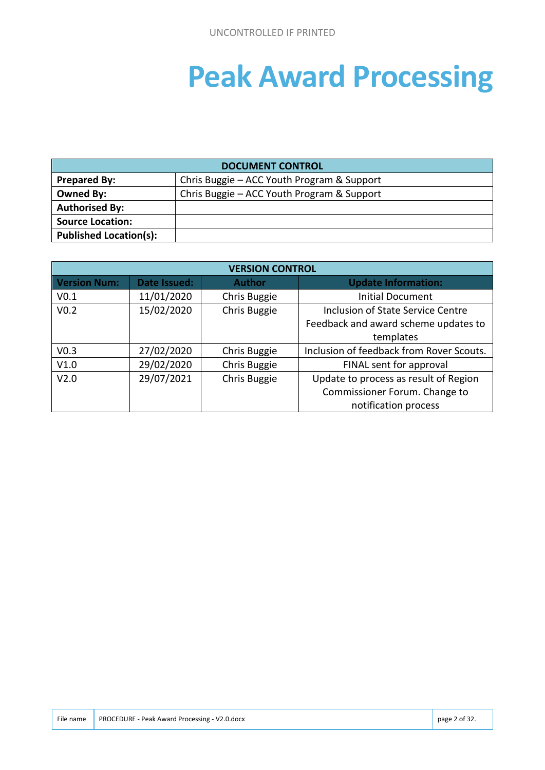# **Peak Award Processing**

| <b>DOCUMENT CONTROL</b>       |                                            |  |
|-------------------------------|--------------------------------------------|--|
| <b>Prepared By:</b>           | Chris Buggie – ACC Youth Program & Support |  |
| Owned By:                     | Chris Buggie – ACC Youth Program & Support |  |
| <b>Authorised By:</b>         |                                            |  |
| <b>Source Location:</b>       |                                            |  |
| <b>Published Location(s):</b> |                                            |  |

| <b>VERSION CONTROL</b> |              |               |                                          |  |
|------------------------|--------------|---------------|------------------------------------------|--|
| <b>Version Num:</b>    | Date Issued: | <b>Author</b> | <b>Update Information:</b>               |  |
| V <sub>0.1</sub>       | 11/01/2020   | Chris Buggie  | <b>Initial Document</b>                  |  |
| V <sub>0.2</sub>       | 15/02/2020   | Chris Buggie  | Inclusion of State Service Centre        |  |
|                        |              |               | Feedback and award scheme updates to     |  |
|                        |              |               | templates                                |  |
| V <sub>0.3</sub>       | 27/02/2020   | Chris Buggie  | Inclusion of feedback from Rover Scouts. |  |
| V1.0                   | 29/02/2020   | Chris Buggie  | FINAL sent for approval                  |  |
| V <sub>2.0</sub>       | 29/07/2021   | Chris Buggie  | Update to process as result of Region    |  |
|                        |              |               | Commissioner Forum. Change to            |  |
|                        |              |               | notification process                     |  |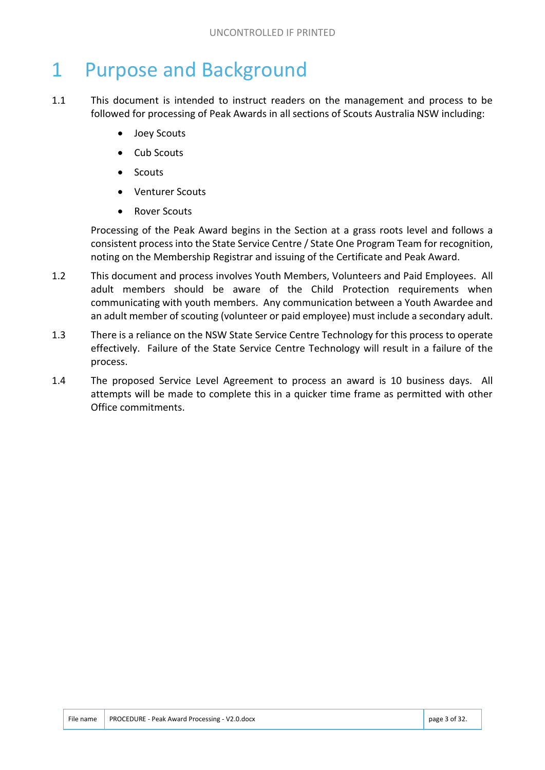## 1 Purpose and Background

- 1.1 This document is intended to instruct readers on the management and process to be followed for processing of Peak Awards in all sections of Scouts Australia NSW including:
	- Joey Scouts
	- Cub Scouts
	- Scouts
	- Venturer Scouts
	- Rover Scouts

Processing of the Peak Award begins in the Section at a grass roots level and follows a consistent process into the State Service Centre / State One Program Team for recognition, noting on the Membership Registrar and issuing of the Certificate and Peak Award.

- 1.2 This document and process involves Youth Members, Volunteers and Paid Employees. All adult members should be aware of the Child Protection requirements when communicating with youth members. Any communication between a Youth Awardee and an adult member of scouting (volunteer or paid employee) must include a secondary adult.
- 1.3 There is a reliance on the NSW State Service Centre Technology for this process to operate effectively. Failure of the State Service Centre Technology will result in a failure of the process.
- 1.4 The proposed Service Level Agreement to process an award is 10 business days. All attempts will be made to complete this in a quicker time frame as permitted with other Office commitments.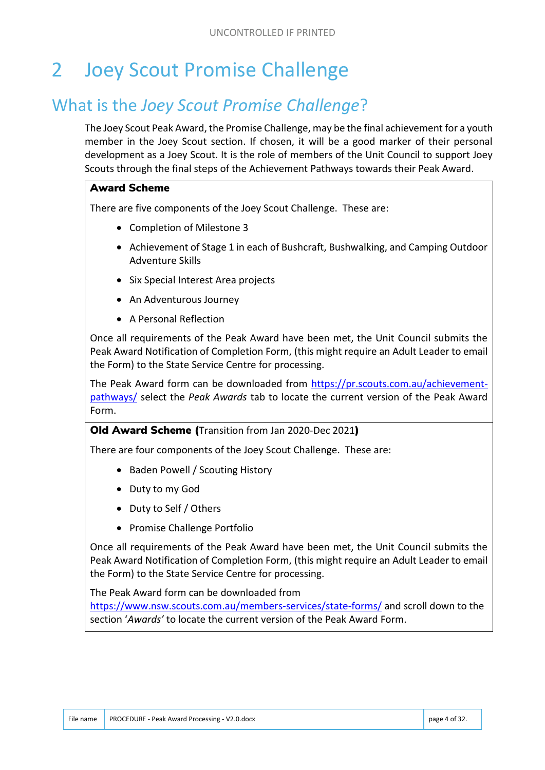# 2 Joey Scout Promise Challenge

## What is the *Joey Scout Promise Challenge*?

The Joey Scout Peak Award, the Promise Challenge, may be the final achievement for a youth member in the Joey Scout section. If chosen, it will be a good marker of their personal development as a Joey Scout. It is the role of members of the Unit Council to support Joey Scouts through the final steps of the Achievement Pathways towards their Peak Award.

#### Award Scheme

There are five components of the Joey Scout Challenge. These are:

- Completion of Milestone 3
- Achievement of Stage 1 in each of Bushcraft, Bushwalking, and Camping Outdoor Adventure Skills
- Six Special Interest Area projects
- An Adventurous Journey
- A Personal Reflection

Once all requirements of the Peak Award have been met, the Unit Council submits the Peak Award Notification of Completion Form, (this might require an Adult Leader to email the Form) to the State Service Centre for processing.

The Peak Award form can be downloaded from https://pr.scouts.com.au/achievementpathways/ select the *Peak Awards* tab to locate the current version of the Peak Award Form.

#### Old Award Scheme (Transition from Jan 2020-Dec 2021)

There are four components of the Joey Scout Challenge. These are:

- Baden Powell / Scouting History
- Duty to my God
- Duty to Self / Others
- Promise Challenge Portfolio

Once all requirements of the Peak Award have been met, the Unit Council submits the Peak Award Notification of Completion Form, (this might require an Adult Leader to email the Form) to the State Service Centre for processing.

The Peak Award form can be downloaded from

https://www.nsw.scouts.com.au/members-services/state-forms/ and scroll down to the section '*Awards'* to locate the current version of the Peak Award Form.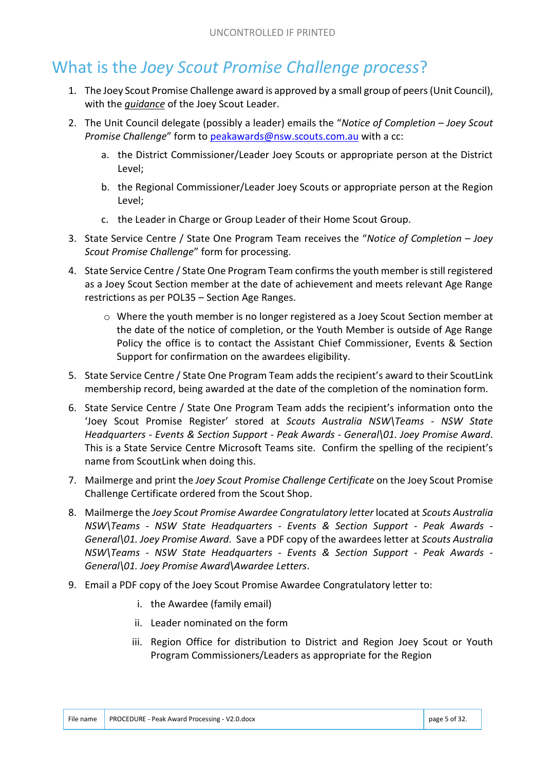## What is the *Joey Scout Promise Challenge process*?

- 1. The Joey Scout Promise Challenge award is approved by a small group of peers (Unit Council), with the *guidance* of the Joey Scout Leader.
- 2. The Unit Council delegate (possibly a leader) emails the "*Notice of Completion – Joey Scout Promise Challenge*" form to peakawards@nsw.scouts.com.au with a cc:
	- a. the District Commissioner/Leader Joey Scouts or appropriate person at the District Level;
	- b. the Regional Commissioner/Leader Joey Scouts or appropriate person at the Region Level;
	- c. the Leader in Charge or Group Leader of their Home Scout Group.
- 3. State Service Centre / State One Program Team receives the "*Notice of Completion – Joey Scout Promise Challenge*" form for processing.
- 4. State Service Centre / State One Program Team confirms the youth member is still registered as a Joey Scout Section member at the date of achievement and meets relevant Age Range restrictions as per POL35 – Section Age Ranges.
	- $\circ$  Where the youth member is no longer registered as a Joey Scout Section member at the date of the notice of completion, or the Youth Member is outside of Age Range Policy the office is to contact the Assistant Chief Commissioner, Events & Section Support for confirmation on the awardees eligibility.
- 5. State Service Centre / State One Program Team adds the recipient's award to their ScoutLink membership record, being awarded at the date of the completion of the nomination form.
- 6. State Service Centre / State One Program Team adds the recipient's information onto the 'Joey Scout Promise Register' stored at *Scouts Australia NSW\Teams - NSW State Headquarters - Events & Section Support - Peak Awards - General\01. Joey Promise Award*. This is a State Service Centre Microsoft Teams site. Confirm the spelling of the recipient's name from ScoutLink when doing this.
- 7. Mailmerge and print the *Joey Scout Promise Challenge Certificate* on the Joey Scout Promise Challenge Certificate ordered from the Scout Shop.
- 8. Mailmerge the *Joey Scout Promise Awardee Congratulatory letter* located at *Scouts Australia NSW\Teams - NSW State Headquarters - Events & Section Support - Peak Awards - General\01. Joey Promise Award*. Save a PDF copy of the awardees letter at *Scouts Australia NSW\Teams - NSW State Headquarters - Events & Section Support - Peak Awards - General\01. Joey Promise Award\Awardee Letters*.
- 9. Email a PDF copy of the Joey Scout Promise Awardee Congratulatory letter to:
	- i. the Awardee (family email)
	- ii. Leader nominated on the form
	- iii. Region Office for distribution to District and Region Joey Scout or Youth Program Commissioners/Leaders as appropriate for the Region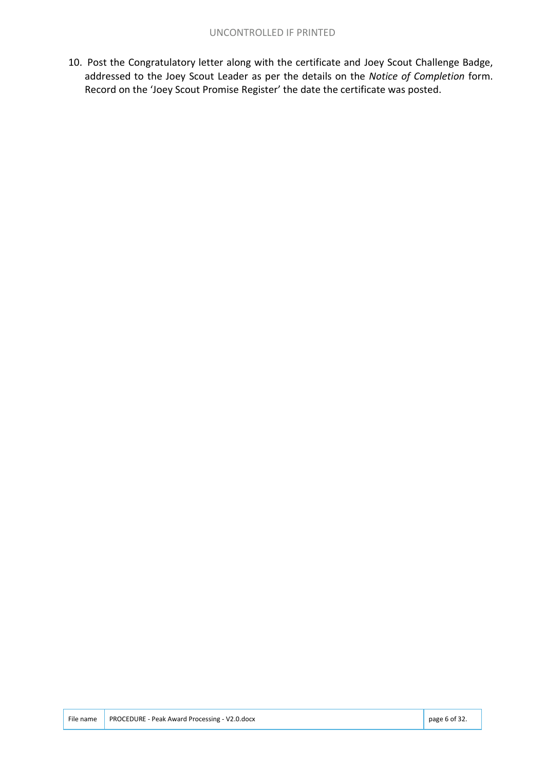10. Post the Congratulatory letter along with the certificate and Joey Scout Challenge Badge, addressed to the Joey Scout Leader as per the details on the *Notice of Completion* form. Record on the 'Joey Scout Promise Register' the date the certificate was posted.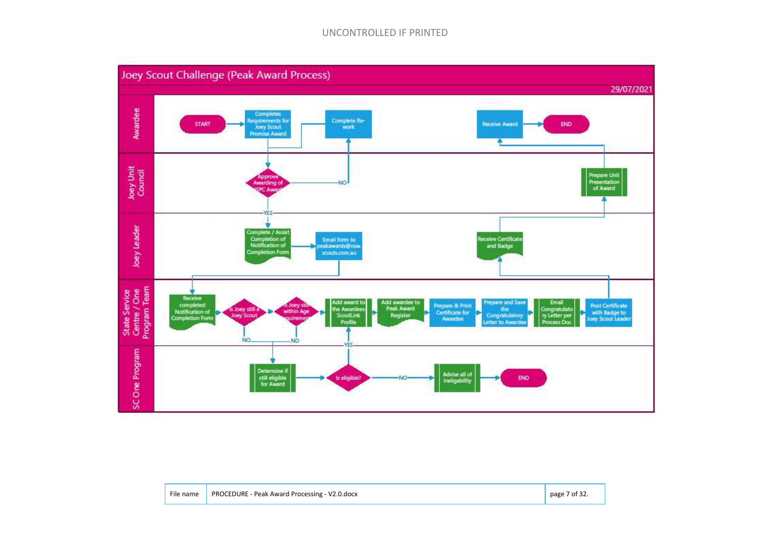#### UNCONTROLLED IF PRINTED



| File name   PROCEDURE - Peak Award Processing - V2.0.docx | page 7 of 32. |
|-----------------------------------------------------------|---------------|
|                                                           |               |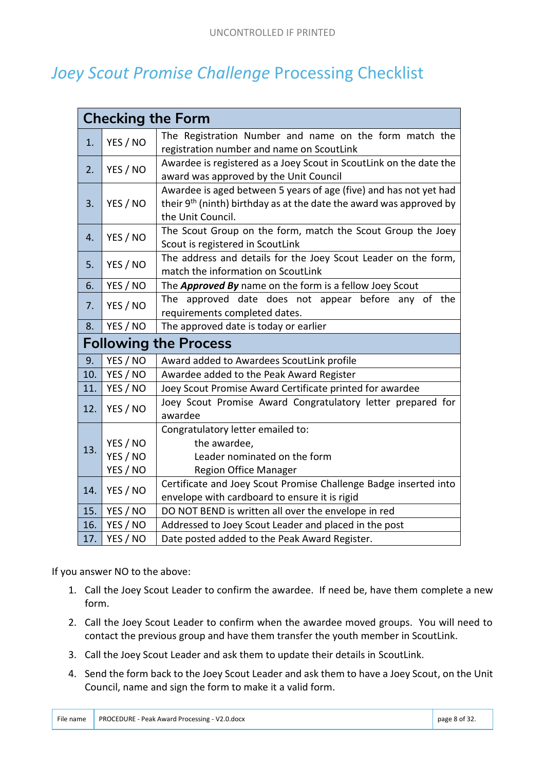## *Joey Scout Promise Challenge* Processing Checklist

|     | <b>Checking the Form</b>         |                                                                                                                                                                           |  |  |
|-----|----------------------------------|---------------------------------------------------------------------------------------------------------------------------------------------------------------------------|--|--|
| 1.  | YES / NO                         | The Registration Number and name on the form match the<br>registration number and name on ScoutLink                                                                       |  |  |
| 2.  | YES / NO                         | Awardee is registered as a Joey Scout in ScoutLink on the date the<br>award was approved by the Unit Council                                                              |  |  |
| 3.  | YES / NO                         | Awardee is aged between 5 years of age (five) and has not yet had<br>their 9 <sup>th</sup> (ninth) birthday as at the date the award was approved by<br>the Unit Council. |  |  |
| 4.  | YES / NO                         | The Scout Group on the form, match the Scout Group the Joey<br>Scout is registered in ScoutLink                                                                           |  |  |
| 5.  | YES / NO                         | The address and details for the Joey Scout Leader on the form,<br>match the information on ScoutLink                                                                      |  |  |
| 6.  | YES / NO                         | The Approved By name on the form is a fellow Joey Scout                                                                                                                   |  |  |
| 7.  | YES / NO                         | The approved date does not appear before any of the<br>requirements completed dates.                                                                                      |  |  |
| 8.  | YES / NO                         | The approved date is today or earlier                                                                                                                                     |  |  |
|     | <b>Following the Process</b>     |                                                                                                                                                                           |  |  |
| 9.  | YES / NO                         | Award added to Awardees ScoutLink profile                                                                                                                                 |  |  |
| 10. | YES / NO                         | Awardee added to the Peak Award Register                                                                                                                                  |  |  |
| 11. | YES / NO                         | Joey Scout Promise Award Certificate printed for awardee                                                                                                                  |  |  |
| 12. | YES / NO                         | Joey Scout Promise Award Congratulatory letter prepared for<br>awardee                                                                                                    |  |  |
| 13. | YES / NO<br>YES / NO<br>YES / NO | Congratulatory letter emailed to:<br>the awardee,<br>Leader nominated on the form<br><b>Region Office Manager</b>                                                         |  |  |
| 14. | YES / NO                         | Certificate and Joey Scout Promise Challenge Badge inserted into<br>envelope with cardboard to ensure it is rigid                                                         |  |  |
| 15. | YES / NO                         | DO NOT BEND is written all over the envelope in red                                                                                                                       |  |  |
| 16. | YES / NO                         | Addressed to Joey Scout Leader and placed in the post                                                                                                                     |  |  |
| 17. | YES / NO                         | Date posted added to the Peak Award Register.                                                                                                                             |  |  |

If you answer NO to the above:

- 1. Call the Joey Scout Leader to confirm the awardee. If need be, have them complete a new form.
- 2. Call the Joey Scout Leader to confirm when the awardee moved groups. You will need to contact the previous group and have them transfer the youth member in ScoutLink.
- 3. Call the Joey Scout Leader and ask them to update their details in ScoutLink.
- 4. Send the form back to the Joey Scout Leader and ask them to have a Joey Scout, on the Unit Council, name and sign the form to make it a valid form.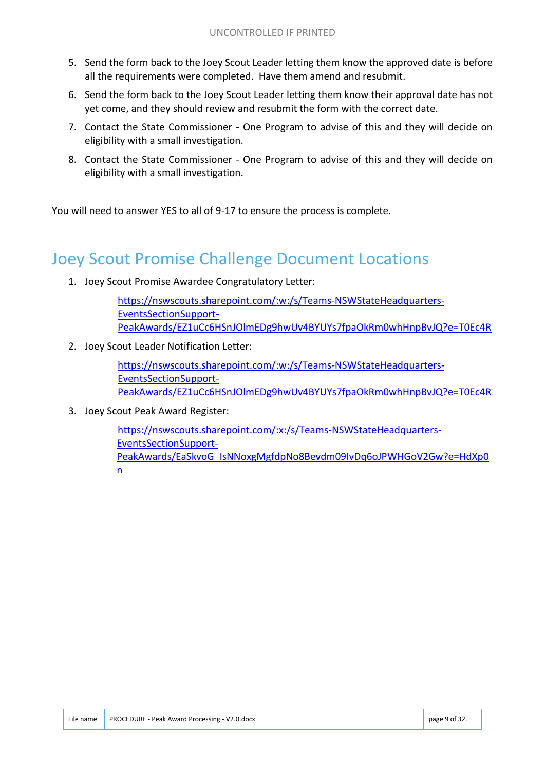- 5. Send the form back to the Joey Scout Leader letting them know the approved date is before all the requirements were completed. Have them amend and resubmit.
- 6. Send the form back to the Joey Scout Leader letting them know their approval date has not yet come, and they should review and resubmit the form with the correct date.
- 7. Contact the State Commissioner One Program to advise of this and they will decide on eligibility with a small investigation.
- 8. Contact the State Commissioner One Program to advise of this and they will decide on eligibility with a small investigation.

You will need to answer YES to all of 9-17 to ensure the process is complete.

## Joey Scout Promise Challenge Document Locations

1. Joey Scout Promise Awardee Congratulatory Letter:

https://nswscouts.sharepoint.com/:w:/s/Teams-NSWStateHeadquarters-EventsSectionSupport-PeakAwards/EZ1uCc6HSnJOlmEDg9hwUv4BYUYs7fpaOkRm0whHnpBvJQ?e=T0Ec4R

2. Joey Scout Leader Notification Letter:

https://nswscouts.sharepoint.com/:w:/s/Teams-NSWStateHeadquarters-EventsSectionSupport-PeakAwards/EZ1uCc6HSnJOlmEDg9hwUv4BYUYs7fpaOkRm0whHnpBvJQ?e=T0Ec4R

3. Joey Scout Peak Award Register:

https://nswscouts.sharepoint.com/:x:/s/Teams-NSWStateHeadquarters-EventsSectionSupport-PeakAwards/EaSkvoG\_IsNNoxgMgfdpNo8Bevdm09IvDq6oJPWHGoV2Gw?e=HdXp0 n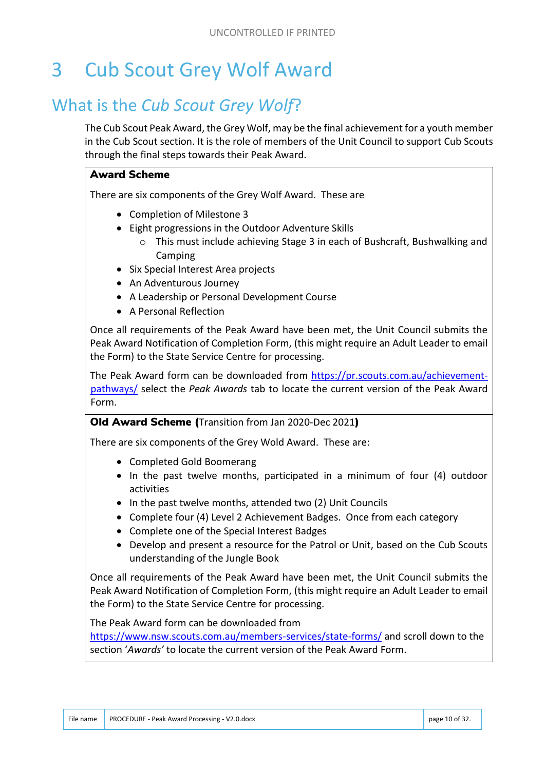# 3 Cub Scout Grey Wolf Award

## What is the *Cub Scout Grey Wolf*?

The Cub Scout Peak Award, the Grey Wolf, may be the final achievement for a youth member in the Cub Scout section. It is the role of members of the Unit Council to support Cub Scouts through the final steps towards their Peak Award.

#### Award Scheme

There are six components of the Grey Wolf Award. These are

- Completion of Milestone 3
- Eight progressions in the Outdoor Adventure Skills
	- $\circ$  This must include achieving Stage 3 in each of Bushcraft, Bushwalking and Camping
- Six Special Interest Area projects
- An Adventurous Journey
- A Leadership or Personal Development Course
- A Personal Reflection

Once all requirements of the Peak Award have been met, the Unit Council submits the Peak Award Notification of Completion Form, (this might require an Adult Leader to email the Form) to the State Service Centre for processing.

The Peak Award form can be downloaded from https://pr.scouts.com.au/achievementpathways/ select the *Peak Awards* tab to locate the current version of the Peak Award Form.

#### Old Award Scheme (Transition from Jan 2020-Dec 2021)

There are six components of the Grey Wold Award. These are:

- Completed Gold Boomerang
- In the past twelve months, participated in a minimum of four (4) outdoor activities
- In the past twelve months, attended two (2) Unit Councils
- Complete four (4) Level 2 Achievement Badges. Once from each category
- Complete one of the Special Interest Badges
- Develop and present a resource for the Patrol or Unit, based on the Cub Scouts understanding of the Jungle Book

Once all requirements of the Peak Award have been met, the Unit Council submits the Peak Award Notification of Completion Form, (this might require an Adult Leader to email the Form) to the State Service Centre for processing.

The Peak Award form can be downloaded from

https://www.nsw.scouts.com.au/members-services/state-forms/ and scroll down to the section '*Awards'* to locate the current version of the Peak Award Form.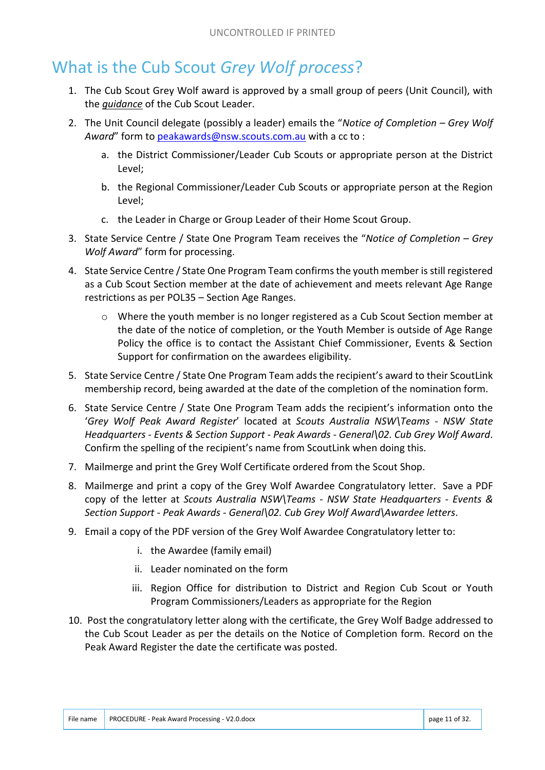## What is the Cub Scout *Grey Wolf process*?

- 1. The Cub Scout Grey Wolf award is approved by a small group of peers (Unit Council), with the *guidance* of the Cub Scout Leader.
- 2. The Unit Council delegate (possibly a leader) emails the "*Notice of Completion – Grey Wolf Award*" form to peakawards@nsw.scouts.com.au with a cc to :
	- a. the District Commissioner/Leader Cub Scouts or appropriate person at the District Level;
	- b. the Regional Commissioner/Leader Cub Scouts or appropriate person at the Region Level;
	- c. the Leader in Charge or Group Leader of their Home Scout Group.
- 3. State Service Centre / State One Program Team receives the "*Notice of Completion – Grey Wolf Award*" form for processing.
- 4. State Service Centre / State One Program Team confirms the youth member is still registered as a Cub Scout Section member at the date of achievement and meets relevant Age Range restrictions as per POL35 – Section Age Ranges.
	- $\circ$  Where the youth member is no longer registered as a Cub Scout Section member at the date of the notice of completion, or the Youth Member is outside of Age Range Policy the office is to contact the Assistant Chief Commissioner, Events & Section Support for confirmation on the awardees eligibility.
- 5. State Service Centre / State One Program Team adds the recipient's award to their ScoutLink membership record, being awarded at the date of the completion of the nomination form.
- 6. State Service Centre / State One Program Team adds the recipient's information onto the '*Grey Wolf Peak Award Register*' located at *Scouts Australia NSW\Teams - NSW State Headquarters - Events & Section Support - Peak Awards - General\02. Cub Grey Wolf Award*. Confirm the spelling of the recipient's name from ScoutLink when doing this.
- 7. Mailmerge and print the Grey Wolf Certificate ordered from the Scout Shop.
- 8. Mailmerge and print a copy of the Grey Wolf Awardee Congratulatory letter. Save a PDF copy of the letter at *Scouts Australia NSW\Teams - NSW State Headquarters - Events & Section Support - Peak Awards - General\02. Cub Grey Wolf Award\Awardee letters*.
- 9. Email a copy of the PDF version of the Grey Wolf Awardee Congratulatory letter to:
	- i. the Awardee (family email)
	- ii. Leader nominated on the form
	- iii. Region Office for distribution to District and Region Cub Scout or Youth Program Commissioners/Leaders as appropriate for the Region
- 10. Post the congratulatory letter along with the certificate, the Grey Wolf Badge addressed to the Cub Scout Leader as per the details on the Notice of Completion form. Record on the Peak Award Register the date the certificate was posted.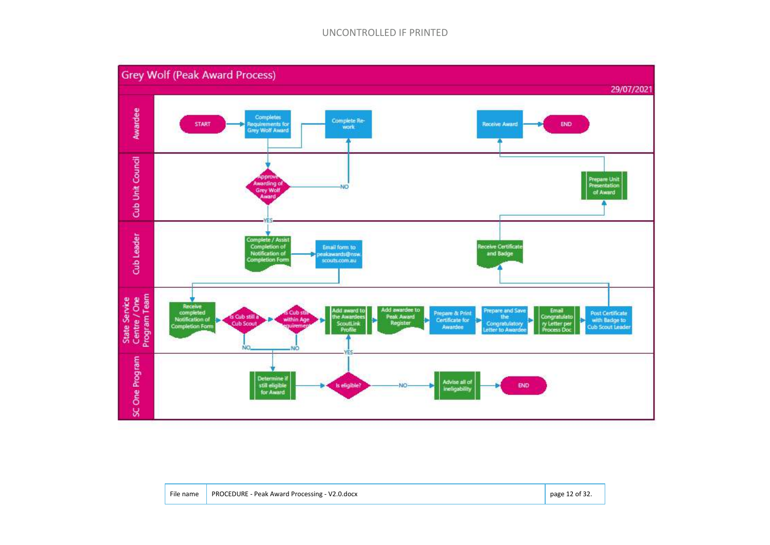#### UNCONTROLLED IF PRINTED



| File name | PROCEDURE - Peak Award Processing - V2.0.docx | page 12 of $32$ . |
|-----------|-----------------------------------------------|-------------------|
|           |                                               |                   |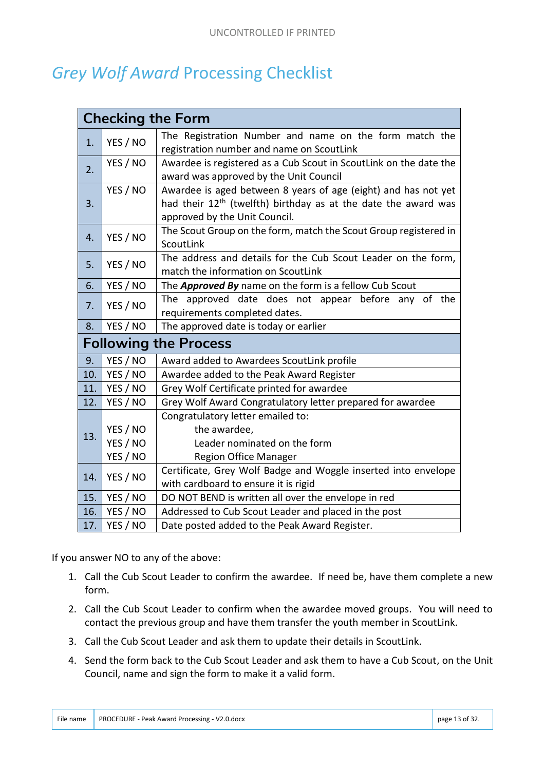## *Grey Wolf Award* Processing Checklist

|     |          | <b>Checking the Form</b>                                                                                                                                                      |
|-----|----------|-------------------------------------------------------------------------------------------------------------------------------------------------------------------------------|
| 1.  | YES / NO | The Registration Number and name on the form match the<br>registration number and name on ScoutLink                                                                           |
| 2.  | YES / NO | Awardee is registered as a Cub Scout in ScoutLink on the date the<br>award was approved by the Unit Council                                                                   |
| 3.  | YES / NO | Awardee is aged between 8 years of age (eight) and has not yet<br>had their 12 <sup>th</sup> (twelfth) birthday as at the date the award was<br>approved by the Unit Council. |
| 4.  | YES / NO | The Scout Group on the form, match the Scout Group registered in<br>ScoutLink                                                                                                 |
| 5.  | YES / NO | The address and details for the Cub Scout Leader on the form,<br>match the information on ScoutLink                                                                           |
| 6.  | YES / NO | The Approved By name on the form is a fellow Cub Scout                                                                                                                        |
| 7.  | YES / NO | The approved date does not appear before any of the<br>requirements completed dates.                                                                                          |
|     |          |                                                                                                                                                                               |
| 8.  | YES / NO | The approved date is today or earlier                                                                                                                                         |
|     |          | <b>Following the Process</b>                                                                                                                                                  |
| 9.  | YES / NO | Award added to Awardees ScoutLink profile                                                                                                                                     |
| 10. | YES / NO | Awardee added to the Peak Award Register                                                                                                                                      |
| 11. | YES / NO | Grey Wolf Certificate printed for awardee                                                                                                                                     |
| 12. | YES / NO | Grey Wolf Award Congratulatory letter prepared for awardee                                                                                                                    |
|     |          | Congratulatory letter emailed to:                                                                                                                                             |
|     | YES / NO | the awardee,                                                                                                                                                                  |
| 13. | YES / NO | Leader nominated on the form                                                                                                                                                  |
|     | YES / NO | <b>Region Office Manager</b>                                                                                                                                                  |
| 14. | YES / NO | Certificate, Grey Wolf Badge and Woggle inserted into envelope<br>with cardboard to ensure it is rigid                                                                        |
| 15. | YES / NO | DO NOT BEND is written all over the envelope in red                                                                                                                           |
| 16. | YES / NO | Addressed to Cub Scout Leader and placed in the post                                                                                                                          |

If you answer NO to any of the above:

- 1. Call the Cub Scout Leader to confirm the awardee. If need be, have them complete a new form.
- 2. Call the Cub Scout Leader to confirm when the awardee moved groups. You will need to contact the previous group and have them transfer the youth member in ScoutLink.
- 3. Call the Cub Scout Leader and ask them to update their details in ScoutLink.
- 4. Send the form back to the Cub Scout Leader and ask them to have a Cub Scout, on the Unit Council, name and sign the form to make it a valid form.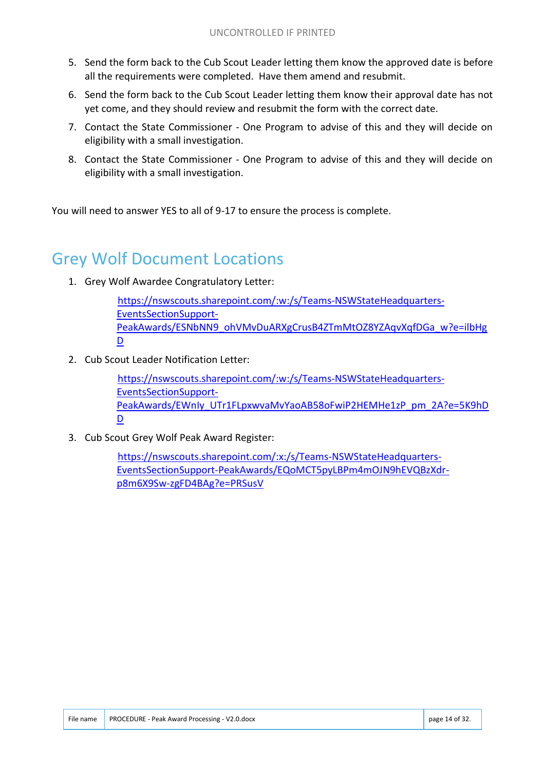- 5. Send the form back to the Cub Scout Leader letting them know the approved date is before all the requirements were completed. Have them amend and resubmit.
- 6. Send the form back to the Cub Scout Leader letting them know their approval date has not yet come, and they should review and resubmit the form with the correct date.
- 7. Contact the State Commissioner One Program to advise of this and they will decide on eligibility with a small investigation.
- 8. Contact the State Commissioner One Program to advise of this and they will decide on eligibility with a small investigation.

You will need to answer YES to all of 9-17 to ensure the process is complete.

## Grey Wolf Document Locations

1. Grey Wolf Awardee Congratulatory Letter:

https://nswscouts.sharepoint.com/:w:/s/Teams-NSWStateHeadquarters-EventsSectionSupport-PeakAwards/ESNbNN9\_ohVMvDuARXgCrusB4ZTmMtOZ8YZAqvXqfDGa\_w?e=ilbHg D

2. Cub Scout Leader Notification Letter:

https://nswscouts.sharepoint.com/:w:/s/Teams-NSWStateHeadquarters-EventsSectionSupport-PeakAwards/EWnIy\_UTr1FLpxwvaMvYaoAB58oFwiP2HEMHe1zP\_pm\_2A?e=5K9hD D

3. Cub Scout Grey Wolf Peak Award Register:

https://nswscouts.sharepoint.com/:x:/s/Teams-NSWStateHeadquarters-EventsSectionSupport-PeakAwards/EQoMCT5pyLBPm4mOJN9hEVQBzXdrp8m6X9Sw-zgFD4BAg?e=PRSusV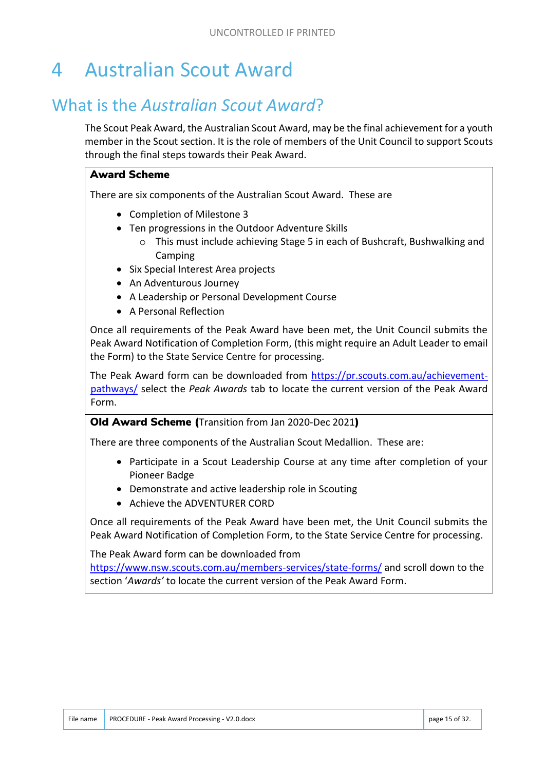# 4 Australian Scout Award

## What is the *Australian Scout Award*?

The Scout Peak Award, the Australian Scout Award, may be the final achievement for a youth member in the Scout section. It is the role of members of the Unit Council to support Scouts through the final steps towards their Peak Award.

#### Award Scheme

There are six components of the Australian Scout Award. These are

- Completion of Milestone 3
- Ten progressions in the Outdoor Adventure Skills
	- o This must include achieving Stage 5 in each of Bushcraft, Bushwalking and Camping
- Six Special Interest Area projects
- An Adventurous Journey
- A Leadership or Personal Development Course
- A Personal Reflection

Once all requirements of the Peak Award have been met, the Unit Council submits the Peak Award Notification of Completion Form, (this might require an Adult Leader to email the Form) to the State Service Centre for processing.

The Peak Award form can be downloaded from https://pr.scouts.com.au/achievementpathways/ select the *Peak Awards* tab to locate the current version of the Peak Award Form.

#### Old Award Scheme (Transition from Jan 2020-Dec 2021)

There are three components of the Australian Scout Medallion. These are:

- Participate in a Scout Leadership Course at any time after completion of your Pioneer Badge
- Demonstrate and active leadership role in Scouting
- Achieve the ADVENTURER CORD

Once all requirements of the Peak Award have been met, the Unit Council submits the Peak Award Notification of Completion Form, to the State Service Centre for processing.

The Peak Award form can be downloaded from

https://www.nsw.scouts.com.au/members-services/state-forms/ and scroll down to the section '*Awards'* to locate the current version of the Peak Award Form.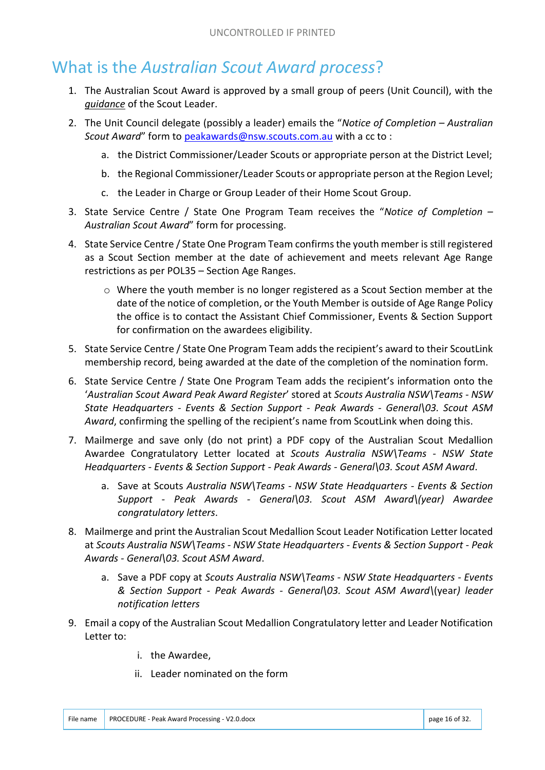## What is the *Australian Scout Award process*?

- 1. The Australian Scout Award is approved by a small group of peers (Unit Council), with the *guidance* of the Scout Leader.
- 2. The Unit Council delegate (possibly a leader) emails the "*Notice of Completion – Australian Scout Award*" form to peakawards@nsw.scouts.com.au with a cc to :
	- a. the District Commissioner/Leader Scouts or appropriate person at the District Level;
	- b. the Regional Commissioner/Leader Scouts or appropriate person at the Region Level;
	- c. the Leader in Charge or Group Leader of their Home Scout Group.
- 3. State Service Centre / State One Program Team receives the "*Notice of Completion – Australian Scout Award*" form for processing.
- 4. State Service Centre / State One Program Team confirms the youth member is still registered as a Scout Section member at the date of achievement and meets relevant Age Range restrictions as per POL35 – Section Age Ranges.
	- $\circ$  Where the youth member is no longer registered as a Scout Section member at the date of the notice of completion, or the Youth Member is outside of Age Range Policy the office is to contact the Assistant Chief Commissioner, Events & Section Support for confirmation on the awardees eligibility.
- 5. State Service Centre / State One Program Team adds the recipient's award to their ScoutLink membership record, being awarded at the date of the completion of the nomination form.
- 6. State Service Centre / State One Program Team adds the recipient's information onto the '*Australian Scout Award Peak Award Register*' stored at *Scouts Australia NSW\Teams - NSW State Headquarters - Events & Section Support - Peak Awards - General\03. Scout ASM Award*, confirming the spelling of the recipient's name from ScoutLink when doing this.
- 7. Mailmerge and save only (do not print) a PDF copy of the Australian Scout Medallion Awardee Congratulatory Letter located at *Scouts Australia NSW\Teams - NSW State Headquarters - Events & Section Support - Peak Awards - General\03. Scout ASM Award*.
	- a. Save at Scouts *Australia NSW\Teams NSW State Headquarters Events & Section Support - Peak Awards - General\03. Scout ASM Award\(year) Awardee congratulatory letters*.
- 8. Mailmerge and print the Australian Scout Medallion Scout Leader Notification Letter located at *Scouts Australia NSW\Teams - NSW State Headquarters - Events & Section Support - Peak Awards - General\03. Scout ASM Award*.
	- a. Save a PDF copy at *Scouts Australia NSW\Teams NSW State Headquarters Events & Section Support - Peak Awards - General\03. Scout ASM Award\*(year*) leader notification letters*
- 9. Email a copy of the Australian Scout Medallion Congratulatory letter and Leader Notification Letter to:
	- i. the Awardee,
	- ii. Leader nominated on the form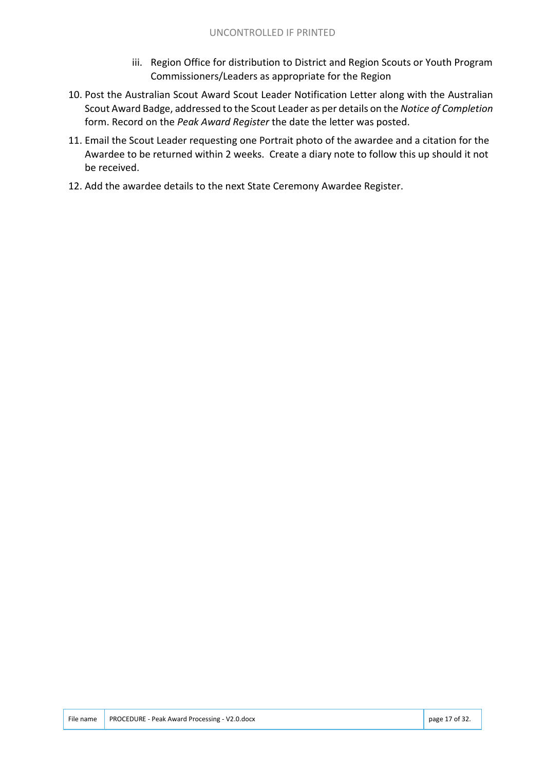- iii. Region Office for distribution to District and Region Scouts or Youth Program Commissioners/Leaders as appropriate for the Region
- 10. Post the Australian Scout Award Scout Leader Notification Letter along with the Australian Scout Award Badge, addressed to the Scout Leader as per details on the *Notice of Completion* form. Record on the *Peak Award Register* the date the letter was posted.
- 11. Email the Scout Leader requesting one Portrait photo of the awardee and a citation for the Awardee to be returned within 2 weeks. Create a diary note to follow this up should it not be received.
- 12. Add the awardee details to the next State Ceremony Awardee Register.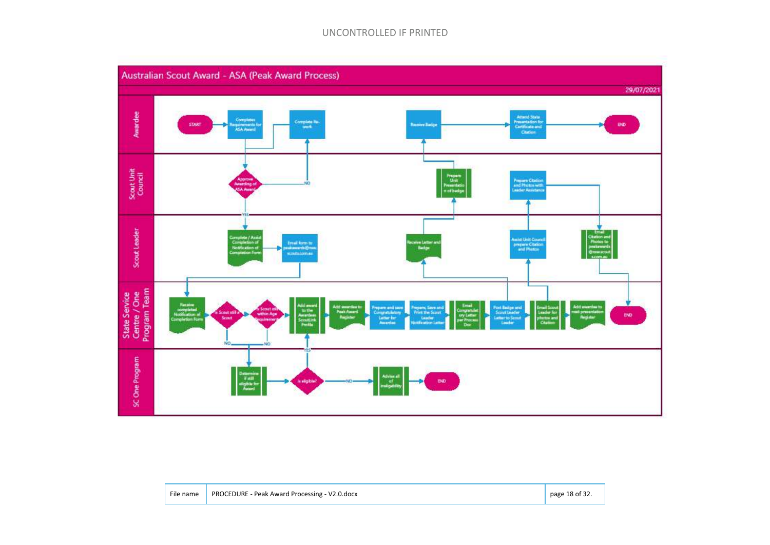#### UNCONTROLLED IF PRINTED



| File name | PROCEDURE - Peak Award Processing - V2.0.docx | page 18 of 32. |
|-----------|-----------------------------------------------|----------------|
|-----------|-----------------------------------------------|----------------|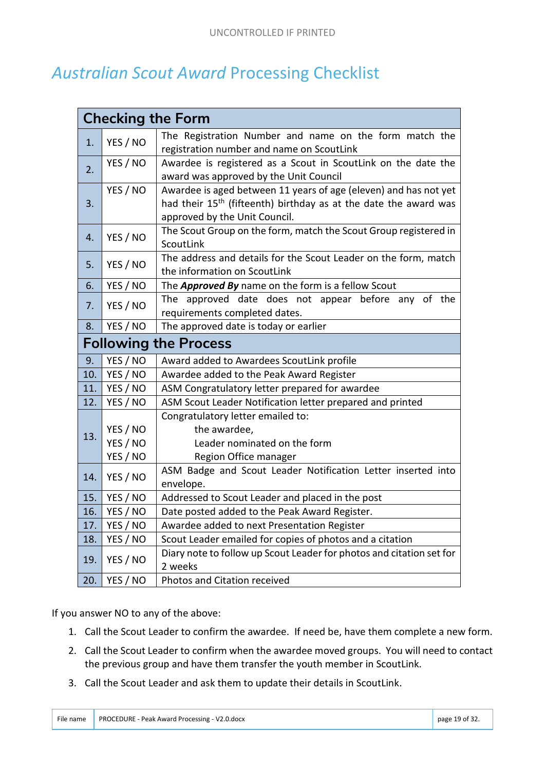## *Australian Scout Award* Processing Checklist

|                              |          | <b>Checking the Form</b>                                                                                                                                                          |  |
|------------------------------|----------|-----------------------------------------------------------------------------------------------------------------------------------------------------------------------------------|--|
| 1.                           | YES / NO | The Registration Number and name on the form match the<br>registration number and name on ScoutLink                                                                               |  |
| 2.                           | YES / NO | Awardee is registered as a Scout in ScoutLink on the date the<br>award was approved by the Unit Council                                                                           |  |
| 3.                           | YES / NO | Awardee is aged between 11 years of age (eleven) and has not yet<br>had their 15 <sup>th</sup> (fifteenth) birthday as at the date the award was<br>approved by the Unit Council. |  |
| 4.                           | YES / NO | The Scout Group on the form, match the Scout Group registered in<br>ScoutLink                                                                                                     |  |
| 5.                           | YES / NO | The address and details for the Scout Leader on the form, match<br>the information on ScoutLink                                                                                   |  |
| 6.                           | YES / NO | The Approved By name on the form is a fellow Scout                                                                                                                                |  |
| 7.                           | YES / NO | The approved date does not appear before any of the<br>requirements completed dates.                                                                                              |  |
| 8.                           | YES / NO | The approved date is today or earlier                                                                                                                                             |  |
| <b>Following the Process</b> |          |                                                                                                                                                                                   |  |
| 9.                           | YES / NO | Award added to Awardees ScoutLink profile                                                                                                                                         |  |
| 10.                          | YES / NO | Awardee added to the Peak Award Register                                                                                                                                          |  |
| 11.                          | YES / NO | ASM Congratulatory letter prepared for awardee                                                                                                                                    |  |
| 12.                          | YES / NO | ASM Scout Leader Notification letter prepared and printed                                                                                                                         |  |
|                              | YES / NO | Congratulatory letter emailed to:<br>the awardee,                                                                                                                                 |  |
| 13.                          | YES / NO | Leader nominated on the form                                                                                                                                                      |  |
|                              | YES / NO | Region Office manager                                                                                                                                                             |  |
| 14.                          | YES / NO | ASM Badge and Scout Leader Notification Letter inserted into<br>envelope.                                                                                                         |  |
| 15.                          | YES / NO | Addressed to Scout Leader and placed in the post                                                                                                                                  |  |
| 16.                          | YES / NO | Date posted added to the Peak Award Register.                                                                                                                                     |  |
| 17.                          | YES / NO | Awardee added to next Presentation Register                                                                                                                                       |  |
| 18.                          | YES / NO | Scout Leader emailed for copies of photos and a citation                                                                                                                          |  |
| 19.                          | YES / NO | Diary note to follow up Scout Leader for photos and citation set for<br>2 weeks                                                                                                   |  |
| 20.                          | YES / NO | Photos and Citation received                                                                                                                                                      |  |

If you answer NO to any of the above:

- 1. Call the Scout Leader to confirm the awardee. If need be, have them complete a new form.
- 2. Call the Scout Leader to confirm when the awardee moved groups. You will need to contact the previous group and have them transfer the youth member in ScoutLink.
- 3. Call the Scout Leader and ask them to update their details in ScoutLink.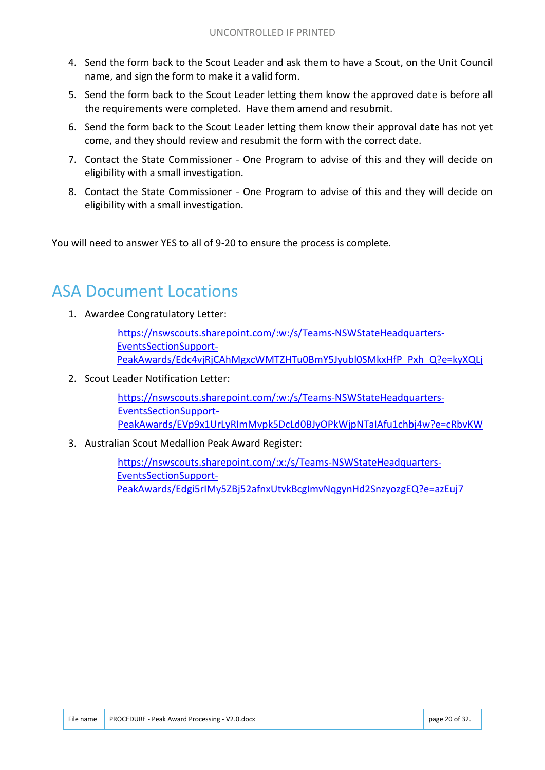- 4. Send the form back to the Scout Leader and ask them to have a Scout, on the Unit Council name, and sign the form to make it a valid form.
- 5. Send the form back to the Scout Leader letting them know the approved date is before all the requirements were completed. Have them amend and resubmit.
- 6. Send the form back to the Scout Leader letting them know their approval date has not yet come, and they should review and resubmit the form with the correct date.
- 7. Contact the State Commissioner One Program to advise of this and they will decide on eligibility with a small investigation.
- 8. Contact the State Commissioner One Program to advise of this and they will decide on eligibility with a small investigation.

You will need to answer YES to all of 9-20 to ensure the process is complete.

## ASA Document Locations

1. Awardee Congratulatory Letter:

https://nswscouts.sharepoint.com/:w:/s/Teams-NSWStateHeadquarters-EventsSectionSupport-PeakAwards/Edc4vjRjCAhMgxcWMTZHTu0BmY5Jyubl0SMkxHfP\_Pxh\_Q?e=kyXQLj

2. Scout Leader Notification Letter:

https://nswscouts.sharepoint.com/:w:/s/Teams-NSWStateHeadquarters-EventsSectionSupport-PeakAwards/EVp9x1UrLyRImMvpk5DcLd0BJyOPkWjpNTaIAfu1chbj4w?e=cRbvKW

3. Australian Scout Medallion Peak Award Register:

https://nswscouts.sharepoint.com/:x:/s/Teams-NSWStateHeadquarters-EventsSectionSupport-PeakAwards/Edgi5rIMy5ZBj52afnxUtvkBcgImvNqgynHd2SnzyozgEQ?e=azEuj7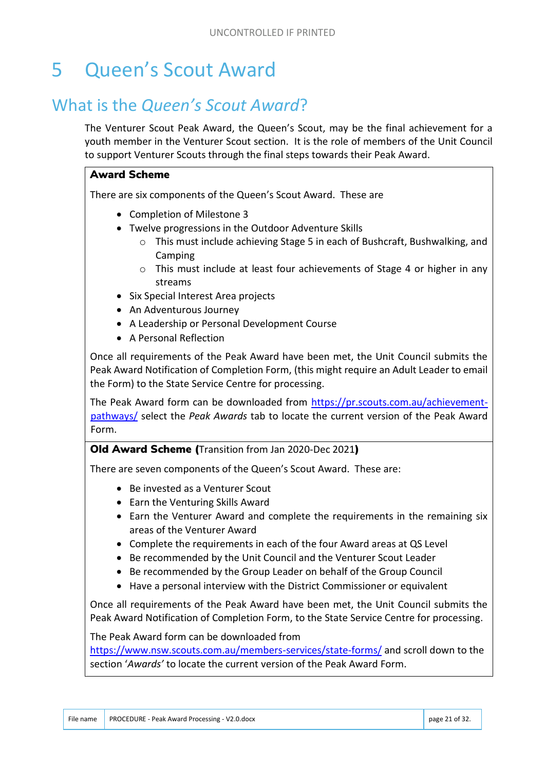# 5 Queen's Scout Award

## What is the *Queen's Scout Award*?

The Venturer Scout Peak Award, the Queen's Scout, may be the final achievement for a youth member in the Venturer Scout section. It is the role of members of the Unit Council to support Venturer Scouts through the final steps towards their Peak Award.

#### Award Scheme

There are six components of the Queen's Scout Award. These are

- Completion of Milestone 3
- Twelve progressions in the Outdoor Adventure Skills
	- o This must include achieving Stage 5 in each of Bushcraft, Bushwalking, and Camping
	- $\circ$  This must include at least four achievements of Stage 4 or higher in any streams
- Six Special Interest Area projects
- An Adventurous Journey
- A Leadership or Personal Development Course
- A Personal Reflection

Once all requirements of the Peak Award have been met, the Unit Council submits the Peak Award Notification of Completion Form, (this might require an Adult Leader to email the Form) to the State Service Centre for processing.

The Peak Award form can be downloaded from https://pr.scouts.com.au/achievementpathways/ select the *Peak Awards* tab to locate the current version of the Peak Award Form.

#### Old Award Scheme (Transition from Jan 2020-Dec 2021)

There are seven components of the Queen's Scout Award. These are:

- Be invested as a Venturer Scout
- Earn the Venturing Skills Award
- Earn the Venturer Award and complete the requirements in the remaining six areas of the Venturer Award
- Complete the requirements in each of the four Award areas at QS Level
- Be recommended by the Unit Council and the Venturer Scout Leader
- Be recommended by the Group Leader on behalf of the Group Council
- Have a personal interview with the District Commissioner or equivalent

Once all requirements of the Peak Award have been met, the Unit Council submits the Peak Award Notification of Completion Form, to the State Service Centre for processing.

The Peak Award form can be downloaded from

https://www.nsw.scouts.com.au/members-services/state-forms/ and scroll down to the section '*Awards'* to locate the current version of the Peak Award Form.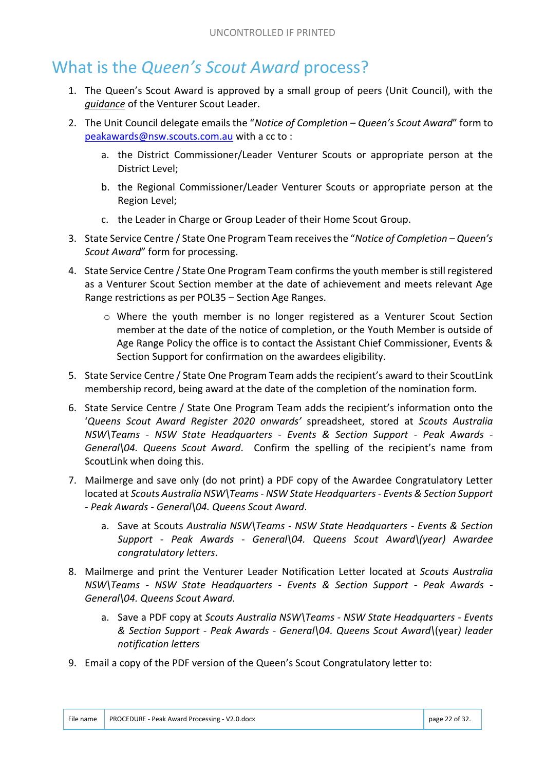## What is the *Queen's Scout Award* process?

- 1. The Queen's Scout Award is approved by a small group of peers (Unit Council), with the *guidance* of the Venturer Scout Leader.
- 2. The Unit Council delegate emails the "*Notice of Completion – Queen's Scout Award*" form to peakawards@nsw.scouts.com.au with a cc to :
	- a. the District Commissioner/Leader Venturer Scouts or appropriate person at the District Level;
	- b. the Regional Commissioner/Leader Venturer Scouts or appropriate person at the Region Level;
	- c. the Leader in Charge or Group Leader of their Home Scout Group.
- 3. State Service Centre / State One Program Team receives the "*Notice of Completion – Queen's Scout Award*" form for processing.
- 4. State Service Centre / State One Program Team confirms the youth member is still registered as a Venturer Scout Section member at the date of achievement and meets relevant Age Range restrictions as per POL35 – Section Age Ranges.
	- o Where the youth member is no longer registered as a Venturer Scout Section member at the date of the notice of completion, or the Youth Member is outside of Age Range Policy the office is to contact the Assistant Chief Commissioner, Events & Section Support for confirmation on the awardees eligibility.
- 5. State Service Centre / State One Program Team adds the recipient's award to their ScoutLink membership record, being award at the date of the completion of the nomination form.
- 6. State Service Centre / State One Program Team adds the recipient's information onto the '*Queens Scout Award Register 2020 onwards'* spreadsheet, stored at *Scouts Australia NSW\Teams - NSW State Headquarters - Events & Section Support - Peak Awards - General\04. Queens Scout Award*. Confirm the spelling of the recipient's name from ScoutLink when doing this.
- 7. Mailmerge and save only (do not print) a PDF copy of the Awardee Congratulatory Letter located at *Scouts Australia NSW\Teams - NSW State Headquarters - Events & Section Support - Peak Awards - General\04. Queens Scout Award*.
	- a. Save at Scouts *Australia NSW\Teams NSW State Headquarters Events & Section Support - Peak Awards - General\04. Queens Scout Award\(year) Awardee congratulatory letters*.
- 8. Mailmerge and print the Venturer Leader Notification Letter located at *Scouts Australia NSW\Teams - NSW State Headquarters - Events & Section Support - Peak Awards - General\04. Queens Scout Award*.
	- a. Save a PDF copy at *Scouts Australia NSW\Teams NSW State Headquarters Events & Section Support - Peak Awards - General\04. Queens Scout Award\*(year*) leader notification letters*
- 9. Email a copy of the PDF version of the Queen's Scout Congratulatory letter to: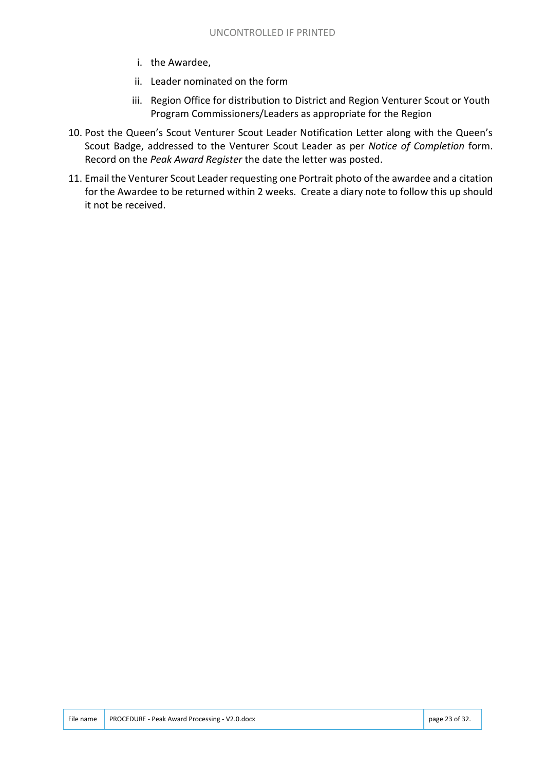- i. the Awardee,
- ii. Leader nominated on the form
- iii. Region Office for distribution to District and Region Venturer Scout or Youth Program Commissioners/Leaders as appropriate for the Region
- 10. Post the Queen's Scout Venturer Scout Leader Notification Letter along with the Queen's Scout Badge, addressed to the Venturer Scout Leader as per *Notice of Completion* form. Record on the *Peak Award Register* the date the letter was posted.
- 11. Email the Venturer Scout Leader requesting one Portrait photo of the awardee and a citation for the Awardee to be returned within 2 weeks. Create a diary note to follow this up should it not be received.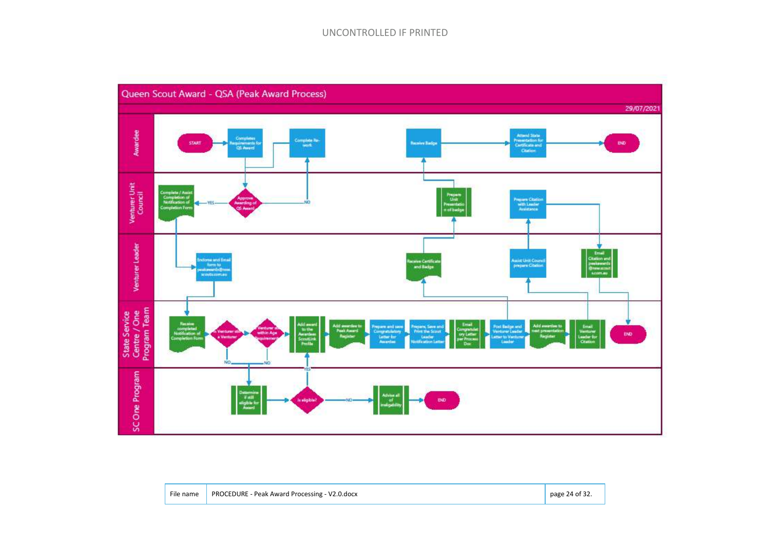#### UNCONTROLLED IF PRINTED



| File name | PROCEDURE - Peak Award Processing - V2.0.docx | page 24 of 32. |
|-----------|-----------------------------------------------|----------------|
|           |                                               |                |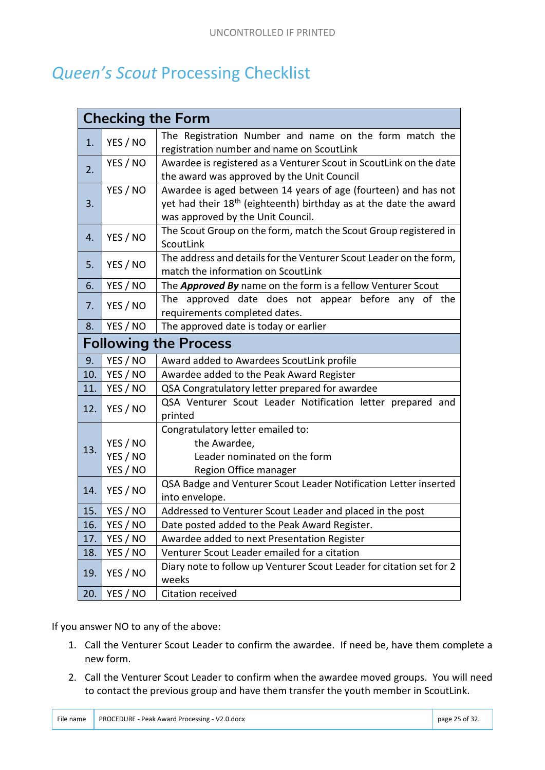## *Queen's Scout* Processing Checklist

|     |          | <b>Checking the Form</b>                                                      |
|-----|----------|-------------------------------------------------------------------------------|
| 1.  | YES / NO | The Registration Number and name on the form match the                        |
|     |          | registration number and name on ScoutLink                                     |
| 2.  | YES / NO | Awardee is registered as a Venturer Scout in ScoutLink on the date            |
|     |          | the award was approved by the Unit Council                                    |
|     | YES / NO | Awardee is aged between 14 years of age (fourteen) and has not                |
| 3.  |          | yet had their 18 <sup>th</sup> (eighteenth) birthday as at the date the award |
|     |          | was approved by the Unit Council.                                             |
| 4.  | YES / NO | The Scout Group on the form, match the Scout Group registered in              |
|     |          | ScoutLink                                                                     |
| 5.  | YES / NO | The address and details for the Venturer Scout Leader on the form,            |
|     |          | match the information on ScoutLink                                            |
| 6.  | YES / NO | The <b>Approved By</b> name on the form is a fellow Venturer Scout            |
| 7.  | YES / NO | The approved date does not appear before any of the                           |
|     |          | requirements completed dates.                                                 |
| 8.  | YES / NO | The approved date is today or earlier                                         |
|     |          | <b>Following the Process</b>                                                  |
| 9.  | YES / NO | Award added to Awardees ScoutLink profile                                     |
| 10. | YES / NO | Awardee added to the Peak Award Register                                      |
| 11. | YES / NO | QSA Congratulatory letter prepared for awardee                                |
| 12. | YES / NO | QSA Venturer Scout Leader Notification letter prepared and                    |
|     |          | printed                                                                       |
|     |          | Congratulatory letter emailed to:                                             |
| 13. | YES / NO | the Awardee,                                                                  |
|     |          |                                                                               |
|     | YES / NO | Leader nominated on the form                                                  |
|     | YES / NO | Region Office manager                                                         |
|     |          | QSA Badge and Venturer Scout Leader Notification Letter inserted              |
| 14. | YES / NO | into envelope.                                                                |
| 15. | YES / NO | Addressed to Venturer Scout Leader and placed in the post                     |
| 16. | YES / NO | Date posted added to the Peak Award Register.                                 |
| 17. | YES / NO | Awardee added to next Presentation Register                                   |
| 18. | YES / NO | Venturer Scout Leader emailed for a citation                                  |
| 19. | YES / NO | Diary note to follow up Venturer Scout Leader for citation set for 2<br>weeks |

If you answer NO to any of the above:

- 1. Call the Venturer Scout Leader to confirm the awardee. If need be, have them complete a new form.
- 2. Call the Venturer Scout Leader to confirm when the awardee moved groups. You will need to contact the previous group and have them transfer the youth member in ScoutLink.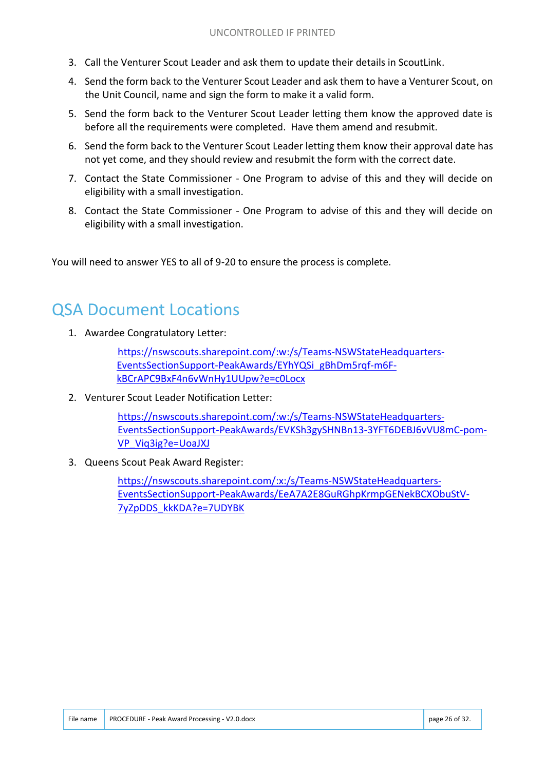- 3. Call the Venturer Scout Leader and ask them to update their details in ScoutLink.
- 4. Send the form back to the Venturer Scout Leader and ask them to have a Venturer Scout, on the Unit Council, name and sign the form to make it a valid form.
- 5. Send the form back to the Venturer Scout Leader letting them know the approved date is before all the requirements were completed. Have them amend and resubmit.
- 6. Send the form back to the Venturer Scout Leader letting them know their approval date has not yet come, and they should review and resubmit the form with the correct date.
- 7. Contact the State Commissioner One Program to advise of this and they will decide on eligibility with a small investigation.
- 8. Contact the State Commissioner One Program to advise of this and they will decide on eligibility with a small investigation.

You will need to answer YES to all of 9-20 to ensure the process is complete.

## QSA Document Locations

1. Awardee Congratulatory Letter:

https://nswscouts.sharepoint.com/:w:/s/Teams-NSWStateHeadquarters-EventsSectionSupport-PeakAwards/EYhYQSi\_gBhDm5rqf-m6FkBCrAPC9BxF4n6vWnHy1UUpw?e=c0Locx

2. Venturer Scout Leader Notification Letter:

https://nswscouts.sharepoint.com/:w:/s/Teams-NSWStateHeadquarters-EventsSectionSupport-PeakAwards/EVKSh3gySHNBn13-3YFT6DEBJ6vVU8mC-pom-VP\_Viq3ig?e=UoaJXJ

3. Queens Scout Peak Award Register:

https://nswscouts.sharepoint.com/:x:/s/Teams-NSWStateHeadquarters-EventsSectionSupport-PeakAwards/EeA7A2E8GuRGhpKrmpGENekBCXObuStV-7yZpDDS\_kkKDA?e=7UDYBK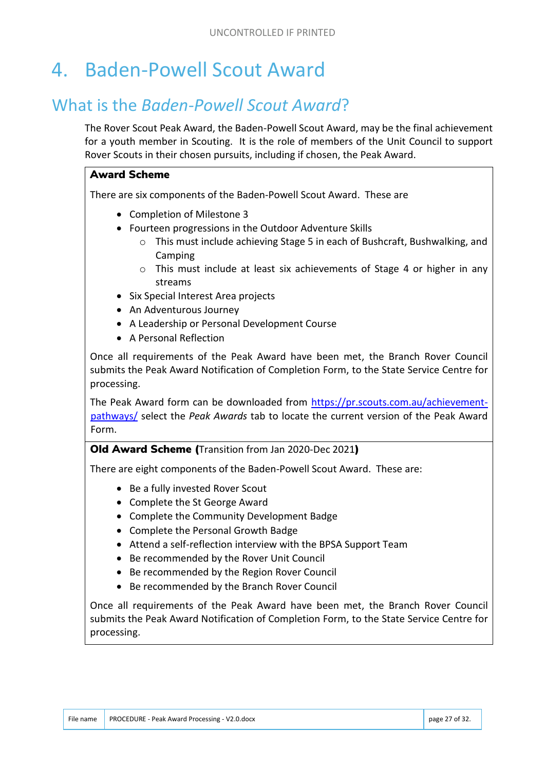# 4. Baden-Powell Scout Award

## What is the *Baden-Powell Scout Award*?

The Rover Scout Peak Award, the Baden-Powell Scout Award, may be the final achievement for a youth member in Scouting. It is the role of members of the Unit Council to support Rover Scouts in their chosen pursuits, including if chosen, the Peak Award.

#### Award Scheme

There are six components of the Baden-Powell Scout Award. These are

- Completion of Milestone 3
- Fourteen progressions in the Outdoor Adventure Skills
	- o This must include achieving Stage 5 in each of Bushcraft, Bushwalking, and Camping
	- $\circ$  This must include at least six achievements of Stage 4 or higher in any streams
- Six Special Interest Area projects
- An Adventurous Journey
- A Leadership or Personal Development Course
- A Personal Reflection

Once all requirements of the Peak Award have been met, the Branch Rover Council submits the Peak Award Notification of Completion Form, to the State Service Centre for processing.

The Peak Award form can be downloaded from https://pr.scouts.com.au/achievementpathways/ select the *Peak Awards* tab to locate the current version of the Peak Award Form.

Old Award Scheme (Transition from Jan 2020-Dec 2021)

There are eight components of the Baden-Powell Scout Award. These are:

- Be a fully invested Rover Scout
- Complete the St George Award
- Complete the Community Development Badge
- Complete the Personal Growth Badge
- Attend a self-reflection interview with the BPSA Support Team
- Be recommended by the Rover Unit Council
- Be recommended by the Region Rover Council
- Be recommended by the Branch Rover Council

Once all requirements of the Peak Award have been met, the Branch Rover Council submits the Peak Award Notification of Completion Form, to the State Service Centre for processing.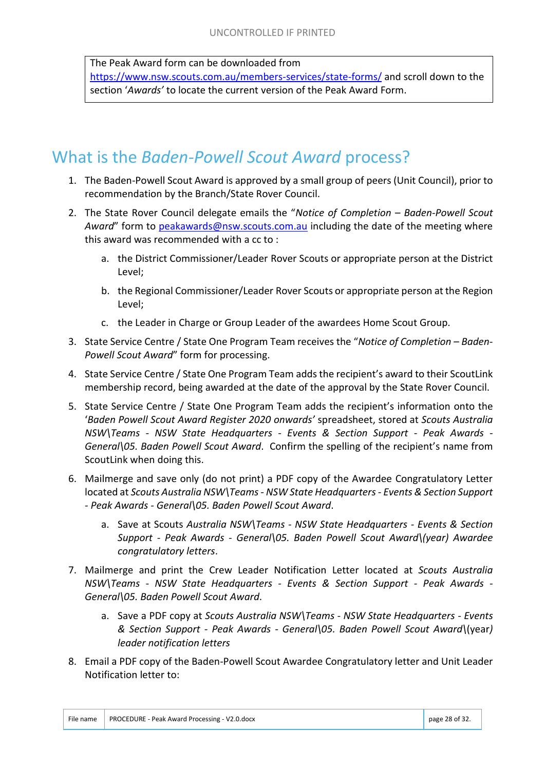The Peak Award form can be downloaded from

https://www.nsw.scouts.com.au/members-services/state-forms/ and scroll down to the section '*Awards'* to locate the current version of the Peak Award Form.

## What is the *Baden-Powell Scout Award* process?

- 1. The Baden-Powell Scout Award is approved by a small group of peers (Unit Council), prior to recommendation by the Branch/State Rover Council.
- 2. The State Rover Council delegate emails the "*Notice of Completion – Baden-Powell Scout Award*" form to peakawards@nsw.scouts.com.au including the date of the meeting where this award was recommended with a cc to :
	- a. the District Commissioner/Leader Rover Scouts or appropriate person at the District Level;
	- b. the Regional Commissioner/Leader Rover Scouts or appropriate person at the Region Level;
	- c. the Leader in Charge or Group Leader of the awardees Home Scout Group.
- 3. State Service Centre / State One Program Team receives the "*Notice of Completion – Baden-Powell Scout Award*" form for processing.
- 4. State Service Centre / State One Program Team adds the recipient's award to their ScoutLink membership record, being awarded at the date of the approval by the State Rover Council.
- 5. State Service Centre / State One Program Team adds the recipient's information onto the '*Baden Powell Scout Award Register 2020 onwards'* spreadsheet, stored at *Scouts Australia NSW\Teams - NSW State Headquarters - Events & Section Support - Peak Awards - General\05. Baden Powell Scout Award*. Confirm the spelling of the recipient's name from ScoutLink when doing this.
- 6. Mailmerge and save only (do not print) a PDF copy of the Awardee Congratulatory Letter located at *Scouts Australia NSW\Teams - NSW State Headquarters - Events & Section Support - Peak Awards - General\05. Baden Powell Scout Award*.
	- a. Save at Scouts *Australia NSW\Teams NSW State Headquarters Events & Section Support - Peak Awards - General\05. Baden Powell Scout Award\(year) Awardee congratulatory letters*.
- 7. Mailmerge and print the Crew Leader Notification Letter located at *Scouts Australia NSW\Teams - NSW State Headquarters - Events & Section Support - Peak Awards - General\05. Baden Powell Scout Award*.
	- a. Save a PDF copy at *Scouts Australia NSW\Teams NSW State Headquarters Events & Section Support - Peak Awards - General\05. Baden Powell Scout Award\*(year*) leader notification letters*
- 8. Email a PDF copy of the Baden-Powell Scout Awardee Congratulatory letter and Unit Leader Notification letter to: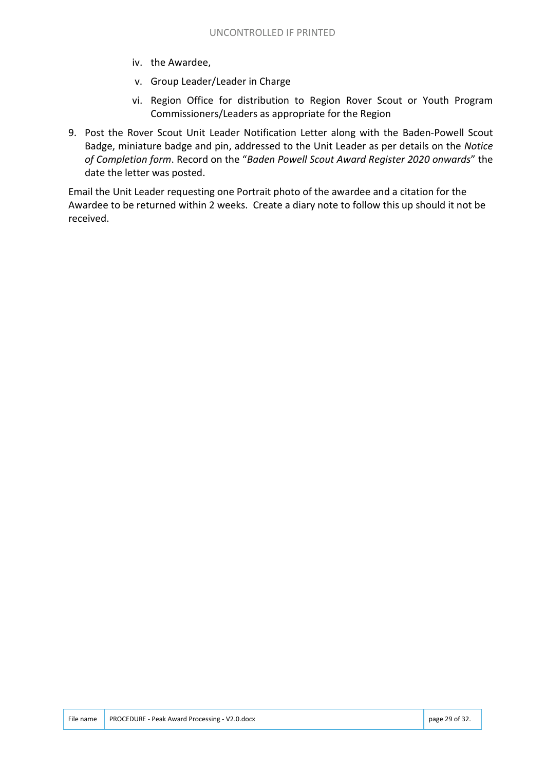- iv. the Awardee,
- v. Group Leader/Leader in Charge
- vi. Region Office for distribution to Region Rover Scout or Youth Program Commissioners/Leaders as appropriate for the Region
- 9. Post the Rover Scout Unit Leader Notification Letter along with the Baden-Powell Scout Badge, miniature badge and pin, addressed to the Unit Leader as per details on the *Notice of Completion form*. Record on the "*Baden Powell Scout Award Register 2020 onwards*" the date the letter was posted.

Email the Unit Leader requesting one Portrait photo of the awardee and a citation for the Awardee to be returned within 2 weeks. Create a diary note to follow this up should it not be received.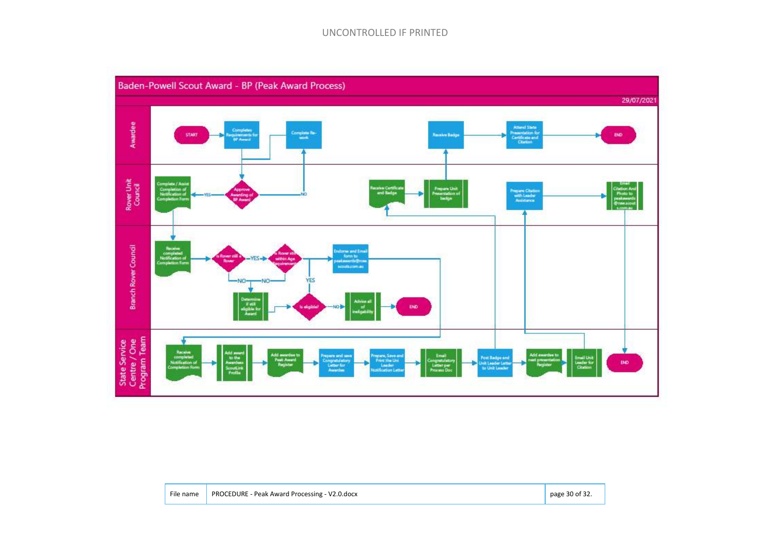#### UNCONTROLLED IF PRINTED



|  | File name   PROCEDURE - Peak Award Processing - V2.0.docx | page 30 of 32. |
|--|-----------------------------------------------------------|----------------|
|--|-----------------------------------------------------------|----------------|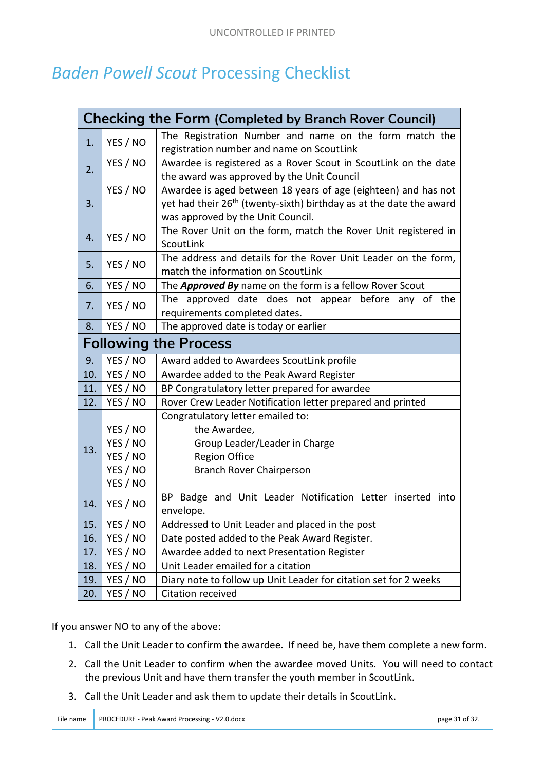## *Baden Powell Scout* Processing Checklist

| <b>Checking the Form (Completed by Branch Rover Council)</b> |          |                                                                                 |
|--------------------------------------------------------------|----------|---------------------------------------------------------------------------------|
| 1.                                                           | YES / NO | The Registration Number and name on the form match the                          |
|                                                              |          | registration number and name on ScoutLink                                       |
| 2.                                                           | YES / NO | Awardee is registered as a Rover Scout in ScoutLink on the date                 |
|                                                              |          | the award was approved by the Unit Council                                      |
| 3.                                                           | YES / NO | Awardee is aged between 18 years of age (eighteen) and has not                  |
|                                                              |          | yet had their 26 <sup>th</sup> (twenty-sixth) birthday as at the date the award |
|                                                              |          | was approved by the Unit Council.                                               |
| 4.                                                           | YES / NO | The Rover Unit on the form, match the Rover Unit registered in                  |
|                                                              |          | ScoutLink                                                                       |
| 5.                                                           | YES / NO | The address and details for the Rover Unit Leader on the form,                  |
|                                                              |          | match the information on ScoutLink                                              |
| 6.                                                           | YES / NO | The <b>Approved By</b> name on the form is a fellow Rover Scout                 |
| 7.                                                           | YES / NO | The approved date does not appear before any of the                             |
|                                                              |          | requirements completed dates.                                                   |
| 8.                                                           | YES / NO | The approved date is today or earlier                                           |
| <b>Following the Process</b>                                 |          |                                                                                 |
| 9.                                                           | YES / NO | Award added to Awardees ScoutLink profile                                       |
| 10.                                                          | YES / NO | Awardee added to the Peak Award Register                                        |
| 11.                                                          | YES / NO | BP Congratulatory letter prepared for awardee                                   |
| 12.                                                          | YES / NO | Rover Crew Leader Notification letter prepared and printed                      |
| 13.                                                          |          | Congratulatory letter emailed to:                                               |
|                                                              | YES / NO | the Awardee,                                                                    |
|                                                              | YES / NO | Group Leader/Leader in Charge                                                   |
|                                                              | YES / NO | <b>Region Office</b>                                                            |
|                                                              | YES / NO | Branch Rover Chairperson                                                        |
|                                                              | YES / NO |                                                                                 |
| 14.                                                          | YES / NO | BP Badge and Unit Leader Notification Letter inserted into                      |
|                                                              |          | envelope.                                                                       |
| 15.                                                          | YES / NO | Addressed to Unit Leader and placed in the post                                 |
| 16.                                                          | YES / NO | Date posted added to the Peak Award Register.                                   |
| 17.                                                          | YES / NO | Awardee added to next Presentation Register                                     |
| 18.                                                          | YES / NO | Unit Leader emailed for a citation                                              |
| 19.                                                          | YES / NO | Diary note to follow up Unit Leader for citation set for 2 weeks                |
| 20.                                                          | YES / NO | Citation received                                                               |

If you answer NO to any of the above:

- 1. Call the Unit Leader to confirm the awardee. If need be, have them complete a new form.
- 2. Call the Unit Leader to confirm when the awardee moved Units. You will need to contact the previous Unit and have them transfer the youth member in ScoutLink.
- 3. Call the Unit Leader and ask them to update their details in ScoutLink.